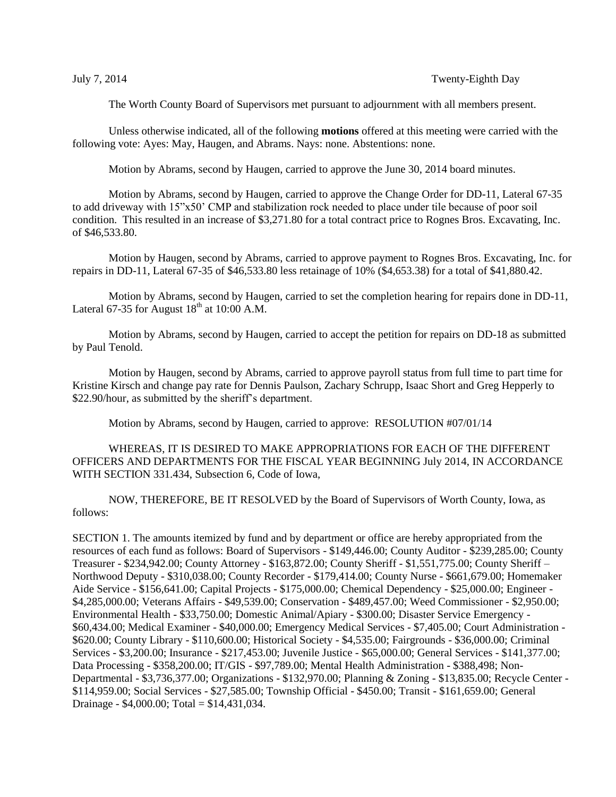The Worth County Board of Supervisors met pursuant to adjournment with all members present.

Unless otherwise indicated, all of the following **motions** offered at this meeting were carried with the following vote: Ayes: May, Haugen, and Abrams. Nays: none. Abstentions: none.

Motion by Abrams, second by Haugen, carried to approve the June 30, 2014 board minutes.

Motion by Abrams, second by Haugen, carried to approve the Change Order for DD-11, Lateral 67-35 to add driveway with 15"x50' CMP and stabilization rock needed to place under tile because of poor soil condition. This resulted in an increase of \$3,271.80 for a total contract price to Rognes Bros. Excavating, Inc. of \$46,533.80.

Motion by Haugen, second by Abrams, carried to approve payment to Rognes Bros. Excavating, Inc. for repairs in DD-11, Lateral 67-35 of \$46,533.80 less retainage of 10% (\$4,653.38) for a total of \$41,880.42.

Motion by Abrams, second by Haugen, carried to set the completion hearing for repairs done in DD-11, Lateral 67-35 for August  $18<sup>th</sup>$  at 10:00 A.M.

Motion by Abrams, second by Haugen, carried to accept the petition for repairs on DD-18 as submitted by Paul Tenold.

Motion by Haugen, second by Abrams, carried to approve payroll status from full time to part time for Kristine Kirsch and change pay rate for Dennis Paulson, Zachary Schrupp, Isaac Short and Greg Hepperly to \$22.90/hour, as submitted by the sheriff's department.

Motion by Abrams, second by Haugen, carried to approve: RESOLUTION #07/01/14

WHEREAS, IT IS DESIRED TO MAKE APPROPRIATIONS FOR EACH OF THE DIFFERENT OFFICERS AND DEPARTMENTS FOR THE FISCAL YEAR BEGINNING July 2014, IN ACCORDANCE WITH SECTION 331.434, Subsection 6, Code of Iowa,

NOW, THEREFORE, BE IT RESOLVED by the Board of Supervisors of Worth County, Iowa, as follows:

SECTION 1. The amounts itemized by fund and by department or office are hereby appropriated from the resources of each fund as follows: Board of Supervisors - \$149,446.00; County Auditor - \$239,285.00; County Treasurer - \$234,942.00; County Attorney - \$163,872.00; County Sheriff - \$1,551,775.00; County Sheriff – Northwood Deputy - \$310,038.00; County Recorder - \$179,414.00; County Nurse - \$661,679.00; Homemaker Aide Service - \$156,641.00; Capital Projects - \$175,000.00; Chemical Dependency - \$25,000.00; Engineer - \$4,285,000.00; Veterans Affairs - \$49,539.00; Conservation - \$489,457.00; Weed Commissioner - \$2,950.00; Environmental Health - \$33,750.00; Domestic Animal/Apiary - \$300.00; Disaster Service Emergency - \$60,434.00; Medical Examiner - \$40,000.00; Emergency Medical Services - \$7,405.00; Court Administration - \$620.00; County Library - \$110,600.00; Historical Society - \$4,535.00; Fairgrounds - \$36,000.00; Criminal Services - \$3,200.00; Insurance - \$217,453.00; Juvenile Justice - \$65,000.00; General Services - \$141,377.00; Data Processing - \$358,200.00; IT/GIS - \$97,789.00; Mental Health Administration - \$388,498; Non-Departmental - \$3,736,377.00; Organizations - \$132,970.00; Planning & Zoning - \$13,835.00; Recycle Center - \$114,959.00; Social Services - \$27,585.00; Township Official - \$450.00; Transit - \$161,659.00; General Drainage - \$4,000.00; Total = \$14,431,034.